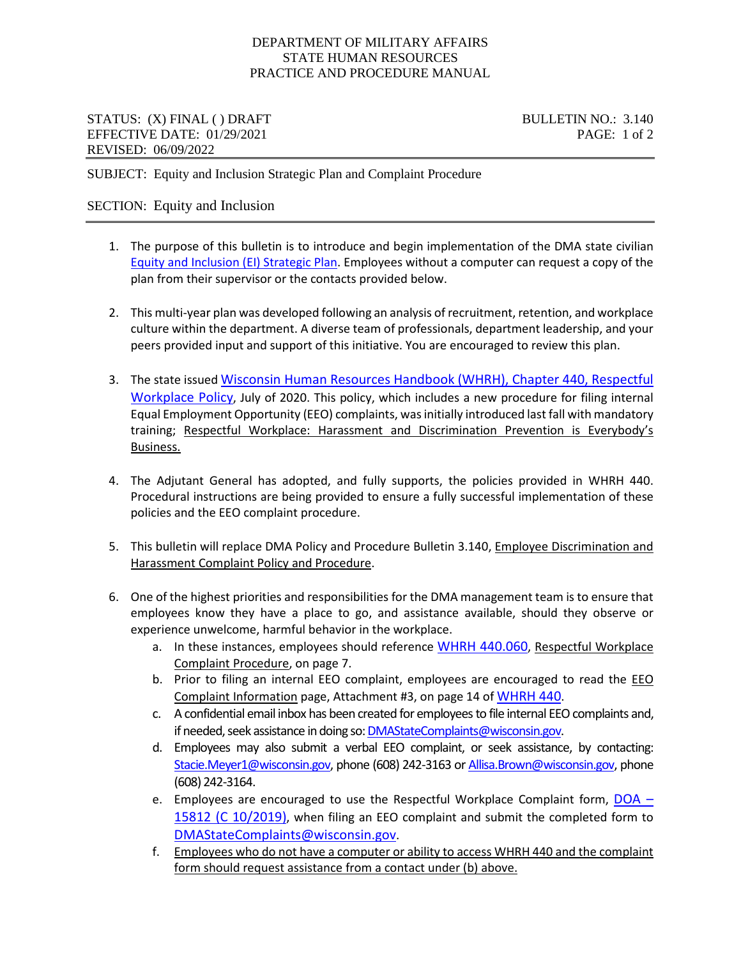## DEPARTMENT OF MILITARY AFFAIRS STATE HUMAN RESOURCES PRACTICE AND PROCEDURE MANUAL

## STATUS: (X) FINAL () DRAFT BULLETIN NO.: 3.140 EFFECTIVE DATE: 01/29/2021 PAGE: 1 of 2 REVISED: 06/09/2022

SUBJECT: Equity and Inclusion Strategic Plan and Complaint Procedure

## SECTION: Equity and Inclusion

- 1. The purpose of this bulletin is to introduce and begin implementation of the DMA state civilian [Equity and Inclusion \(EI\) Strategic Plan.](https://dma.wi.gov/wp-content/library/StateHR/Docs/DMA_State_Equity_&_Inclusion_Strategic_Plan.pdf) Employees without a computer can request a copy of the plan from their supervisor or the contacts provided below.
- 2. This multi-year plan was developed following an analysis of recruitment, retention, and workplace culture within the department. A diverse team of professionals, department leadership, and your peers provided input and support of this initiative. You are encouraged to review this plan.
- 3. The state issue[d Wisconsin Human Resources Handbook \(WHRH\), Chapter 440, Respectful](https://dpm.wi.gov/Hand%20Book%20Chapters/WHRH_Ch_440.pdf)  [Workplace Policy,](https://dpm.wi.gov/Hand%20Book%20Chapters/WHRH_Ch_440.pdf) July of 2020. This policy, which includes a new procedure for filing internal Equal Employment Opportunity (EEO) complaints, was initially introduced last fall with mandatory training; Respectful Workplace: Harassment and Discrimination Prevention is Everybody's Business.
- 4. The Adjutant General has adopted, and fully supports, the policies provided in WHRH 440. Procedural instructions are being provided to ensure a fully successful implementation of these policies and the EEO complaint procedure.
- 5. This bulletin will replace DMA Policy and Procedure Bulletin 3.140, Employee Discrimination and Harassment Complaint Policy and Procedure.
- 6. One of the highest priorities and responsibilities for the DMA management team is to ensure that employees know they have a place to go, and assistance available, should they observe or experience unwelcome, harmful behavior in the workplace.
	- a. In these instances, employees should reference [WHRH 440.060,](https://dpm.wi.gov/Hand%20Book%20Chapters/WHRH_Ch_440.pdf) Respectful Workplace Complaint Procedure, on page 7.
	- b. Prior to filing an internal EEO complaint, employees are encouraged to read the EEO Complaint Information page, Attachment #3, on page 14 of [WHRH 440.](https://dpm.wi.gov/Hand%20Book%20Chapters/WHRH_Ch_440.pdf)
	- c. A confidential email inbox has been created for employees to file internal EEO complaints and, if needed, seek assistance in doing so[: DMAStateComplaints@wisconsin.gov.](mailto:DMAStateComplaints@wisconsin.gov)
	- d. Employees may also submit a verbal EEO complaint, or seek assistance, by contacting: [Stacie.Meyer1@wisconsin.gov,](mailto:Stacie.Meyer1@wisconsin.gov) phone (608) 242-3163 o[r Allisa.Brown@wisconsin.gov,](mailto:Allisa.Brown@wisconsin.gov) phone (608) 242-3164.
	- e. Employees are encouraged to use the Respectful Workplace Complaint form,  $\overline{DOA}$  [15812 \(C 10/2019\),](https://dpm.wi.gov/Documents/DPM%20FORMS/DOA-15812.docx) when filing an EEO complaint and submit the completed form to [DMAStateComplaints@wisconsin.gov.](mailto:DMAStateComplaints@wisconsin.gov)
	- f. Employees who do not have a computer or ability to access WHRH 440 and the complaint form should request assistance from a contact under (b) above.